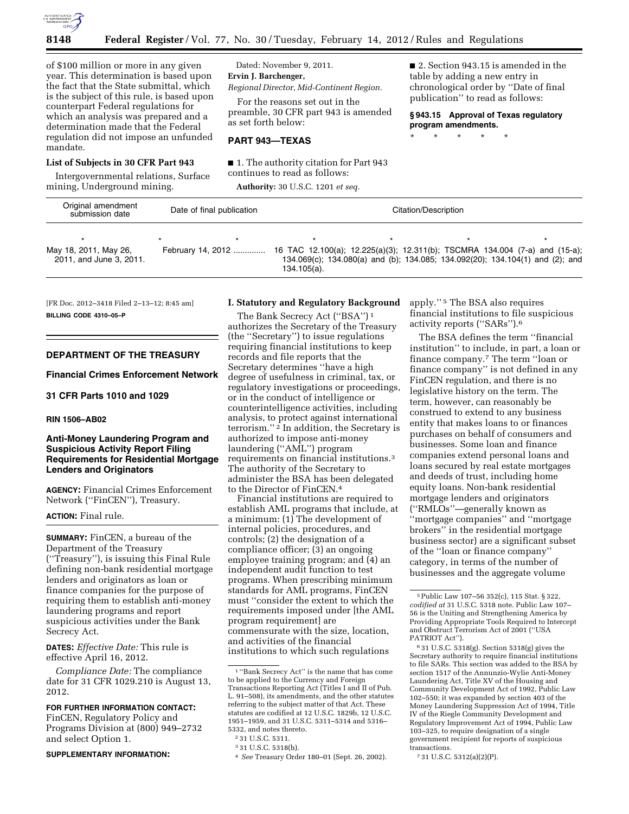

of \$100 million or more in any given year. This determination is based upon the fact that the State submittal, which is the subject of this rule, is based upon counterpart Federal regulations for which an analysis was prepared and a determination made that the Federal regulation did not impose an unfunded mandate.

# **List of Subjects in 30 CFR Part 943**

Intergovernmental relations, Surface mining, Underground mining.

Dated: November 9, 2011. **Ervin J. Barchenger,** 

*Regional Director, Mid-Continent Region.* 

For the reasons set out in the preamble, 30 CFR part 943 is amended as set forth below:

## **PART 943—TEXAS**

■ 1. The authority citation for Part 943 continues to read as follows:

**Authority:** 30 U.S.C. 1201 *et seq.* 

■ 2. Section 943.15 is amended in the table by adding a new entry in chronological order by ''Date of final publication'' to read as follows:

**§ 943.15 Approval of Texas regulatory program amendments.** 

\* \* \* \* \*

| Original amendment<br>submission date            | Date of final publication |             | Citation/Description                                                                                                                                         |  |
|--------------------------------------------------|---------------------------|-------------|--------------------------------------------------------------------------------------------------------------------------------------------------------------|--|
| May 18, 2011, May 26,<br>2011, and June 3, 2011. | February 14, 2012         | 134.105(a). | 16 TAC 12.100(a); 12.225(a)(3); 12.311(b); TSCMRA 134.004 (7-a) and (15-a);<br>134.069(c); 134.080(a) and (b); 134.085; 134.092(20); 134.104(1) and (2); and |  |

[FR Doc. 2012–3418 Filed 2–13–12; 8:45 am] **BILLING CODE 4310–05–P** 

## **DEPARTMENT OF THE TREASURY**

**Financial Crimes Enforcement Network** 

# **31 CFR Parts 1010 and 1029**

#### **RIN 1506–AB02**

# **Anti-Money Laundering Program and Suspicious Activity Report Filing Requirements for Residential Mortgage Lenders and Originators**

**AGENCY:** Financial Crimes Enforcement Network (''FinCEN''), Treasury.

## **ACTION:** Final rule.

**SUMMARY:** FinCEN, a bureau of the Department of the Treasury (''Treasury''), is issuing this Final Rule defining non-bank residential mortgage lenders and originators as loan or finance companies for the purpose of requiring them to establish anti-money laundering programs and report suspicious activities under the Bank Secrecy Act.

**DATES:** *Effective Date:* This rule is effective April 16, 2012.

*Compliance Date:* The compliance date for 31 CFR 1029.210 is August 13, 2012.

#### **FOR FURTHER INFORMATION CONTACT:**

FinCEN, Regulatory Policy and Programs Division at (800) 949–2732 and select Option 1.

#### **SUPPLEMENTARY INFORMATION:**

# **I. Statutory and Regulatory Background**

The Bank Secrecy Act ("BSA")<sup>1</sup> authorizes the Secretary of the Treasury (the ''Secretary'') to issue regulations requiring financial institutions to keep records and file reports that the Secretary determines ''have a high degree of usefulness in criminal, tax, or regulatory investigations or proceedings, or in the conduct of intelligence or counterintelligence activities, including analysis, to protect against international terrorism."<sup>2</sup> In addition, the Secretary is authorized to impose anti-money laundering (''AML'') program requirements on financial institutions.3 The authority of the Secretary to administer the BSA has been delegated to the Director of FinCEN.4

Financial institutions are required to establish AML programs that include, at a minimum: (1) The development of internal policies, procedures, and controls; (2) the designation of a compliance officer; (3) an ongoing employee training program; and (4) an independent audit function to test programs. When prescribing minimum standards for AML programs, FinCEN must ''consider the extent to which the requirements imposed under [the AML program requirement] are commensurate with the size, location, and activities of the financial institutions to which such regulations

apply.'' 5 The BSA also requires financial institutions to file suspicious activity reports (''SARs'').6

The BSA defines the term ''financial institution'' to include, in part, a loan or finance company.7 The term ''loan or finance company'' is not defined in any FinCEN regulation, and there is no legislative history on the term. The term, however, can reasonably be construed to extend to any business entity that makes loans to or finances purchases on behalf of consumers and businesses. Some loan and finance companies extend personal loans and loans secured by real estate mortgages and deeds of trust, including home equity loans. Non-bank residential mortgage lenders and originators (''RMLOs''—generally known as ''mortgage companies'' and ''mortgage brokers'' in the residential mortgage business sector) are a significant subset of the ''loan or finance company'' category, in terms of the number of businesses and the aggregate volume

7 31 U.S.C. 5312(a)(2)(P).

<sup>1</sup> ''Bank Secrecy Act'' is the name that has come to be applied to the Currency and Foreign Transactions Reporting Act (Titles I and II of Pub. L. 91–508), its amendments, and the other statutes referring to the subject matter of that Act. These statutes are codified at 12 U.S.C. 1829b, 12 U.S.C. 1951–1959, and 31 U.S.C. 5311–5314 and 5316– 5332, and notes thereto.

<sup>2</sup> 31 U.S.C. 5311.

<sup>3</sup> 31 U.S.C. 5318(h).

<sup>4</sup> *See* Treasury Order 180–01 (Sept. 26, 2002).

<sup>5</sup>Public Law 107–56 352(c), 115 Stat. § 322, *codified at* 31 U.S.C. 5318 note. Public Law 107– 56 is the Uniting and Strengthening America by Providing Appropriate Tools Required to Intercept and Obstruct Terrorism Act of 2001 (''USA PATRIOT Act'').

<sup>6</sup> 31 U.S.C. 5318(g). Section 5318(g) gives the Secretary authority to require financial institutions to file SARs. This section was added to the BSA by section 1517 of the Annunzio-Wylie Anti-Money Laundering Act, Title XV of the Housing and Community Development Act of 1992, Public Law 102–550; it was expanded by section 403 of the Money Laundering Suppression Act of 1994, Title IV of the Riegle Community Development and Regulatory Improvement Act of 1994, Public Law 103–325, to require designation of a single government recipient for reports of suspicious transactions.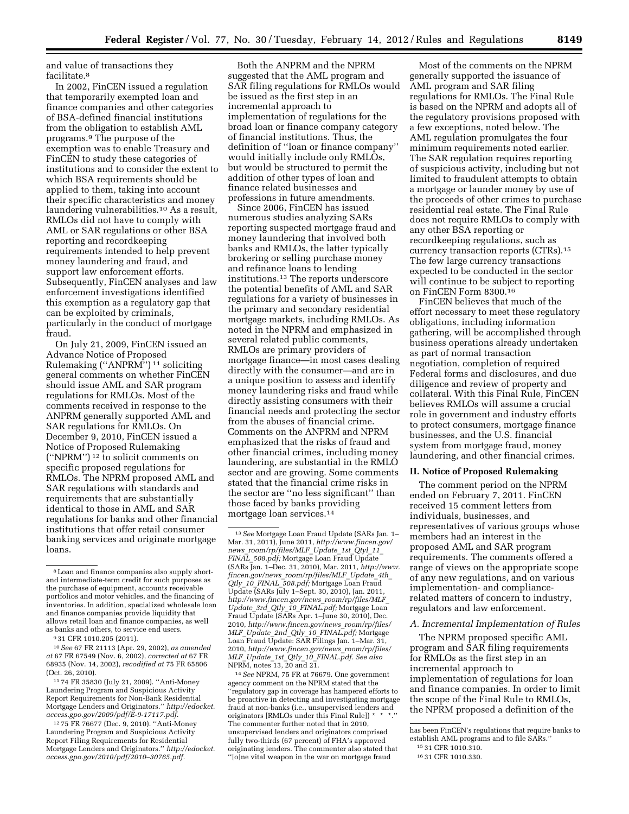and value of transactions they facilitate.8

In 2002, FinCEN issued a regulation that temporarily exempted loan and finance companies and other categories of BSA-defined financial institutions from the obligation to establish AML programs.9 The purpose of the exemption was to enable Treasury and FinCEN to study these categories of institutions and to consider the extent to which BSA requirements should be applied to them, taking into account their specific characteristics and money laundering vulnerabilities.10 As a result, RMLOs did not have to comply with AML or SAR regulations or other BSA reporting and recordkeeping requirements intended to help prevent money laundering and fraud, and support law enforcement efforts. Subsequently, FinCEN analyses and law enforcement investigations identified this exemption as a regulatory gap that can be exploited by criminals, particularly in the conduct of mortgage fraud.

On July 21, 2009, FinCEN issued an Advance Notice of Proposed Rulemaking (''ANPRM'') 11 soliciting general comments on whether FinCEN should issue AML and SAR program regulations for RMLOs. Most of the comments received in response to the ANPRM generally supported AML and SAR regulations for RMLOs. On December 9, 2010, FinCEN issued a Notice of Proposed Rulemaking (''NPRM'') 12 to solicit comments on specific proposed regulations for RMLOs. The NPRM proposed AML and SAR regulations with standards and requirements that are substantially identical to those in AML and SAR regulations for banks and other financial institutions that offer retail consumer banking services and originate mortgage loans.

11 74 FR 35830 (July 21, 2009). ''Anti-Money Laundering Program and Suspicious Activity Report Requirements for Non-Bank Residential Mortgage Lenders and Originators.'' *[http://edocket.](http://edocket.access.gpo.gov/2009/pdf/E-9-17117.pdf) [access.gpo.gov/2009/pdf/E-9-17117.pdf.](http://edocket.access.gpo.gov/2009/pdf/E-9-17117.pdf)* 

12 75 FR 76677 (Dec. 9, 2010). ''Anti-Money Laundering Program and Suspicious Activity Report Filing Requirements for Residential Mortgage Lenders and Originators.'' *[http://edocket.](http://edocket.access.gpo.gov/2010/pdf/2010-30765.pdf) [access.gpo.gov/2010/pdf/2010–30765.pdf.](http://edocket.access.gpo.gov/2010/pdf/2010-30765.pdf)* 

Both the ANPRM and the NPRM suggested that the AML program and SAR filing regulations for RMLOs would be issued as the first step in an incremental approach to implementation of regulations for the broad loan or finance company category of financial institutions. Thus, the definition of ''loan or finance company'' would initially include only RMLOs, but would be structured to permit the addition of other types of loan and finance related businesses and professions in future amendments.

Since 2006, FinCEN has issued numerous studies analyzing SARs reporting suspected mortgage fraud and money laundering that involved both banks and RMLOs, the latter typically brokering or selling purchase money and refinance loans to lending institutions.13 The reports underscore the potential benefits of AML and SAR regulations for a variety of businesses in the primary and secondary residential mortgage markets, including RMLOs. As noted in the NPRM and emphasized in several related public comments, RMLOs are primary providers of mortgage finance—in most cases dealing directly with the consumer—and are in a unique position to assess and identify money laundering risks and fraud while directly assisting consumers with their financial needs and protecting the sector from the abuses of financial crime. Comments on the ANPRM and NPRM emphasized that the risks of fraud and other financial crimes, including money laundering, are substantial in the RMLO sector and are growing. Some comments stated that the financial crime risks in the sector are ''no less significant'' than those faced by banks providing mortgage loan services.14

14*See* NPRM, 75 FR at 76679. One government agency comment on the NPRM stated that the ''regulatory gap in coverage has hampered efforts to be proactive in detecting and investigating mortgage fraud at non-banks (i.e., unsupervised lenders and originators [RMLOs under this Final Rule]) \* \* \*.'' The commenter further noted that in 2010, unsupervised lenders and originators comprised fully two-thirds (67 percent) of FHA's approved originating lenders. The commenter also stated that ''[o]ne vital weapon in the war on mortgage fraud

Most of the comments on the NPRM generally supported the issuance of AML program and SAR filing regulations for RMLOs. The Final Rule is based on the NPRM and adopts all of the regulatory provisions proposed with a few exceptions, noted below. The AML regulation promulgates the four minimum requirements noted earlier. The SAR regulation requires reporting of suspicious activity, including but not limited to fraudulent attempts to obtain a mortgage or launder money by use of the proceeds of other crimes to purchase residential real estate. The Final Rule does not require RMLOs to comply with any other BSA reporting or recordkeeping regulations, such as currency transaction reports (CTRs).15 The few large currency transactions expected to be conducted in the sector will continue to be subject to reporting on FinCEN Form 8300.16

FinCEN believes that much of the effort necessary to meet these regulatory obligations, including information gathering, will be accomplished through business operations already undertaken as part of normal transaction negotiation, completion of required Federal forms and disclosures, and due diligence and review of property and collateral. With this Final Rule, FinCEN believes RMLOs will assume a crucial role in government and industry efforts to protect consumers, mortgage finance businesses, and the U.S. financial system from mortgage fraud, money laundering, and other financial crimes.

#### **II. Notice of Proposed Rulemaking**

The comment period on the NPRM ended on February 7, 2011. FinCEN received 15 comment letters from individuals, businesses, and representatives of various groups whose members had an interest in the proposed AML and SAR program requirements. The comments offered a range of views on the appropriate scope of any new regulations, and on various implementation- and compliancerelated matters of concern to industry, regulators and law enforcement.

#### *A. Incremental Implementation of Rules*

The NPRM proposed specific AML program and SAR filing requirements for RMLOs as the first step in an incremental approach to implementation of regulations for loan and finance companies. In order to limit the scope of the Final Rule to RMLOs, the NPRM proposed a definition of the

<sup>8</sup>Loan and finance companies also supply shortand intermediate-term credit for such purposes as the purchase of equipment, accounts receivable portfolios and motor vehicles, and the financing of inventories. In addition, specialized wholesale loan and finance companies provide liquidity that allows retail loan and finance companies, as well as banks and others, to service end users.

<sup>9</sup> 31 CFR 1010.205 (2011).

<sup>10</sup>*See* 67 FR 21113 (Apr. 29, 2002), *as amended at* 67 FR 67549 (Nov. 6, 2002), *corrected at* 67 FR 68935 (Nov. 14, 2002), *recodified at* 75 FR 65806 (Oct. 26, 2010).

<sup>13</sup>*See* Mortgage Loan Fraud Update (SARs Jan. 1– Mar. 31, 2011), June 2011, *[http://www.fincen.gov/](http://www.fincen.gov/news_room/rp/files/MLF_Update_1st_Qtyl_11_FINAL_508.pdf) news*\_*[room/rp/files/MLF](http://www.fincen.gov/news_room/rp/files/MLF_Update_1st_Qtyl_11_FINAL_508.pdf)*\_*Update*\_*1st*\_*Qtyl*\_*11*\_ *FINAL*\_*[508.pdf;](http://www.fincen.gov/news_room/rp/files/MLF_Update_1st_Qtyl_11_FINAL_508.pdf)* Mortgage Loan Fraud Update (SARs Jan. 1–Dec. 31, 2010), Mar. 2011, *[http://www.](http://www.fincen.gov/news_room/rp/files/MLF_Update_4th_Qtly_10_FINAL_508.pdf) fincen.gov/news*\_*[room/rp/files/MLF](http://www.fincen.gov/news_room/rp/files/MLF_Update_4th_Qtly_10_FINAL_508.pdf)*\_*Update*\_*4th*\_ *Qtly*\_*10*\_*FINAL*\_*[508.pdf;](http://www.fincen.gov/news_room/rp/files/MLF_Update_4th_Qtly_10_FINAL_508.pdf)* Mortgage Loan Fraud Update (SARs July 1–Sept. 30, 2010), Jan. 2011, *[http://www.fincen.gov/news](http://www.fincen.gov/news_room/rp/files/MLF_Update_3rd_Qtly_10_FINAL.pdf)*\_*room/rp/files/MLF*\_ *Update*\_*3rd*\_*Qtly*\_*10*\_*[FINAL.pdf;](http://www.fincen.gov/news_room/rp/files/MLF_Update_3rd_Qtly_10_FINAL.pdf)* Mortgage Loan Fraud Update (SARs Apr. 1–June 30, 2010), Dec. 2010, *[http://www.fincen.gov/news](http://www.fincen.gov/news_room/rp/files/MLF_Update_2nd_Qtly_10_FINAL.pdf)*\_*room/rp/files/ MLF*\_*Update*\_*2nd*\_*Qtly*\_*10*\_*[FINAL.pdf;](http://www.fincen.gov/news_room/rp/files/MLF_Update_2nd_Qtly_10_FINAL.pdf)* Mortgage Loan Fraud Update: SAR Filings Jan. 1–Mar. 31, 2010, *[http://www.fincen.gov/news](http://www.fincen.gov/news_room/rp/files/MLF_Update_1st_Qtly_10_FINAL.pdf)*\_*room/rp/files/ MLF*\_*Update*\_*1st*\_*Qtly*\_*10*\_*[FINAL.pdf.](http://www.fincen.gov/news_room/rp/files/MLF_Update_1st_Qtly_10_FINAL.pdf) See also*  NPRM, notes 13, 20 and 21.

has been FinCEN's regulations that require banks to establish AML programs and to file SARs.''

<sup>15</sup> 31 CFR 1010.310.

<sup>16</sup> 31 CFR 1010.330.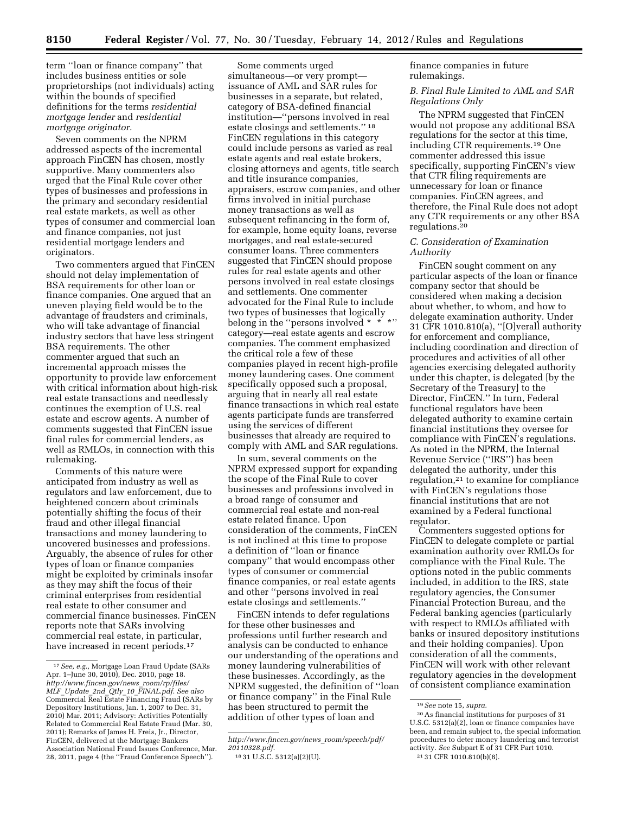term ''loan or finance company'' that includes business entities or sole proprietorships (not individuals) acting within the bounds of specified definitions for the terms *residential mortgage lender* and *residential mortgage originator.* 

Seven comments on the NPRM addressed aspects of the incremental approach FinCEN has chosen, mostly supportive. Many commenters also urged that the Final Rule cover other types of businesses and professions in the primary and secondary residential real estate markets, as well as other types of consumer and commercial loan and finance companies, not just residential mortgage lenders and originators.

Two commenters argued that FinCEN should not delay implementation of BSA requirements for other loan or finance companies. One argued that an uneven playing field would be to the advantage of fraudsters and criminals, who will take advantage of financial industry sectors that have less stringent BSA requirements. The other commenter argued that such an incremental approach misses the opportunity to provide law enforcement with critical information about high-risk real estate transactions and needlessly continues the exemption of U.S. real estate and escrow agents. A number of comments suggested that FinCEN issue final rules for commercial lenders, as well as RMLOs, in connection with this rulemaking.

Comments of this nature were anticipated from industry as well as regulators and law enforcement, due to heightened concern about criminals potentially shifting the focus of their fraud and other illegal financial transactions and money laundering to uncovered businesses and professions. Arguably, the absence of rules for other types of loan or finance companies might be exploited by criminals insofar as they may shift the focus of their criminal enterprises from residential real estate to other consumer and commercial finance businesses. FinCEN reports note that SARs involving commercial real estate, in particular, have increased in recent periods.<sup>17</sup>

Some comments urged simultaneous—or very prompt issuance of AML and SAR rules for businesses in a separate, but related, category of BSA-defined financial institution—''persons involved in real estate closings and settlements.'' 18 FinCEN regulations in this category could include persons as varied as real estate agents and real estate brokers, closing attorneys and agents, title search and title insurance companies, appraisers, escrow companies, and other firms involved in initial purchase money transactions as well as subsequent refinancing in the form of, for example, home equity loans, reverse mortgages, and real estate-secured consumer loans. Three commenters suggested that FinCEN should propose rules for real estate agents and other persons involved in real estate closings and settlements. One commenter advocated for the Final Rule to include two types of businesses that logically belong in the "persons involved \* \* \*" category—real estate agents and escrow companies. The comment emphasized the critical role a few of these companies played in recent high-profile money laundering cases. One comment specifically opposed such a proposal, arguing that in nearly all real estate finance transactions in which real estate agents participate funds are transferred using the services of different businesses that already are required to comply with AML and SAR regulations.

In sum, several comments on the NPRM expressed support for expanding the scope of the Final Rule to cover businesses and professions involved in a broad range of consumer and commercial real estate and non-real estate related finance. Upon consideration of the comments, FinCEN is not inclined at this time to propose a definition of ''loan or finance company'' that would encompass other types of consumer or commercial finance companies, or real estate agents and other ''persons involved in real estate closings and settlements.''

FinCEN intends to defer regulations for these other businesses and professions until further research and analysis can be conducted to enhance our understanding of the operations and money laundering vulnerabilities of these businesses. Accordingly, as the NPRM suggested, the definition of ''loan or finance company'' in the Final Rule has been structured to permit the addition of other types of loan and

finance companies in future rulemakings.

*B. Final Rule Limited to AML and SAR Regulations Only* 

The NPRM suggested that FinCEN would not propose any additional BSA regulations for the sector at this time, including CTR requirements.19 One commenter addressed this issue specifically, supporting FinCEN's view that CTR filing requirements are unnecessary for loan or finance companies. FinCEN agrees, and therefore, the Final Rule does not adopt any CTR requirements or any other BSA regulations.20

## *C. Consideration of Examination Authority*

FinCEN sought comment on any particular aspects of the loan or finance company sector that should be considered when making a decision about whether, to whom, and how to delegate examination authority. Under 31 CFR 1010.810(a), ''[O]verall authority for enforcement and compliance, including coordination and direction of procedures and activities of all other agencies exercising delegated authority under this chapter, is delegated [by the Secretary of the Treasury] to the Director, FinCEN.'' In turn, Federal functional regulators have been delegated authority to examine certain financial institutions they oversee for compliance with FinCEN's regulations. As noted in the NPRM, the Internal Revenue Service (''IRS'') has been delegated the authority, under this regulation,21 to examine for compliance with FinCEN's regulations those financial institutions that are not examined by a Federal functional regulator.

Commenters suggested options for FinCEN to delegate complete or partial examination authority over RMLOs for compliance with the Final Rule. The options noted in the public comments included, in addition to the IRS, state regulatory agencies, the Consumer Financial Protection Bureau, and the Federal banking agencies (particularly with respect to RMLOs affiliated with banks or insured depository institutions and their holding companies). Upon consideration of all the comments, FinCEN will work with other relevant regulatory agencies in the development of consistent compliance examination

<sup>17</sup>*See, e.g.,* Mortgage Loan Fraud Update (SARs Apr. 1–June 30, 2010), Dec. 2010, page 18. *[http://www.fincen.gov/news](http://www.fincen.gov/news_room/rp/files/MLF_Update_2nd_Qtly_10_FINAL.pdf)*\_*room/rp/files/ MLF*\_*Update*\_*2nd*\_*Qtly*\_*10*\_*[FINAL.pdf.](http://www.fincen.gov/news_room/rp/files/MLF_Update_2nd_Qtly_10_FINAL.pdf) See also*  Commercial Real Estate Financing Fraud (SARs by Depository Institutions, Jan. 1, 2007 to Dec. 31, 2010) Mar. 2011; Advisory: Activities Potentially Related to Commercial Real Estate Fraud (Mar. 30, 2011); Remarks of James H. Freis, Jr., Director, FinCEN, delivered at the Mortgage Bankers Association National Fraud Issues Conference, Mar. 28, 2011, page 4 (the ''Fraud Conference Speech'').

*[http://www.fincen.gov/news](http://www.fincen.gov/news_room/speech/pdf/20110328.pdf)*\_*room/speech/pdf/ [20110328.pdf.](http://www.fincen.gov/news_room/speech/pdf/20110328.pdf)* 

<sup>18</sup> 31 U.S.C. 5312(a)(2)(U).

<sup>19</sup>*See* note 15, *supra.* 

 $^{\rm 20}\hspace{0.05cm}{\rm As}$  financial institutions for purposes of  $31$ U.S.C. 5312(a)(2), loan or finance companies have been, and remain subject to, the special information procedures to deter money laundering and terrorist activity. *See* Subpart E of 31 CFR Part 1010. 21 31 CFR 1010.810(b)(8).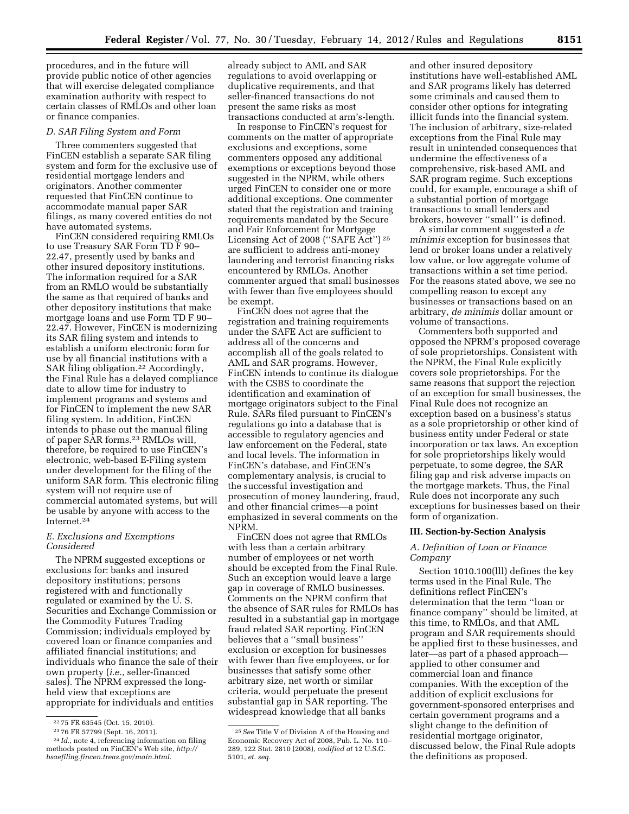procedures, and in the future will provide public notice of other agencies that will exercise delegated compliance examination authority with respect to certain classes of RMLOs and other loan or finance companies.

#### *D. SAR Filing System and Form*

Three commenters suggested that FinCEN establish a separate SAR filing system and form for the exclusive use of residential mortgage lenders and originators. Another commenter requested that FinCEN continue to accommodate manual paper SAR filings, as many covered entities do not have automated systems.

FinCEN considered requiring RMLOs to use Treasury SAR Form TD F 90– 22.47, presently used by banks and other insured depository institutions. The information required for a SAR from an RMLO would be substantially the same as that required of banks and other depository institutions that make mortgage loans and use Form TD F 90– 22.47. However, FinCEN is modernizing its SAR filing system and intends to establish a uniform electronic form for use by all financial institutions with a SAR filing obligation.22 Accordingly, the Final Rule has a delayed compliance date to allow time for industry to implement programs and systems and for FinCEN to implement the new SAR filing system. In addition, FinCEN intends to phase out the manual filing of paper SAR forms.23 RMLOs will, therefore, be required to use FinCEN's electronic, web-based E-Filing system under development for the filing of the uniform SAR form. This electronic filing system will not require use of commercial automated systems, but will be usable by anyone with access to the Internet.24

## *E. Exclusions and Exemptions Considered*

The NPRM suggested exceptions or exclusions for: banks and insured depository institutions; persons registered with and functionally regulated or examined by the U. S. Securities and Exchange Commission or the Commodity Futures Trading Commission; individuals employed by covered loan or finance companies and affiliated financial institutions; and individuals who finance the sale of their own property (*i.e.,* seller-financed sales). The NPRM expressed the longheld view that exceptions are appropriate for individuals and entities

already subject to AML and SAR regulations to avoid overlapping or duplicative requirements, and that seller-financed transactions do not present the same risks as most transactions conducted at arm's-length.

In response to FinCEN's request for comments on the matter of appropriate exclusions and exceptions, some commenters opposed any additional exemptions or exceptions beyond those suggested in the NPRM, while others urged FinCEN to consider one or more additional exceptions. One commenter stated that the registration and training requirements mandated by the Secure and Fair Enforcement for Mortgage Licensing Act of 2008 (''SAFE Act'') 25 are sufficient to address anti-money laundering and terrorist financing risks encountered by RMLOs. Another commenter argued that small businesses with fewer than five employees should be exempt.

FinCEN does not agree that the registration and training requirements under the SAFE Act are sufficient to address all of the concerns and accomplish all of the goals related to AML and SAR programs. However, FinCEN intends to continue its dialogue with the CSBS to coordinate the identification and examination of mortgage originators subject to the Final Rule. SARs filed pursuant to FinCEN's regulations go into a database that is accessible to regulatory agencies and law enforcement on the Federal, state and local levels. The information in FinCEN's database, and FinCEN's complementary analysis, is crucial to the successful investigation and prosecution of money laundering, fraud, and other financial crimes—a point emphasized in several comments on the NPRM.

FinCEN does not agree that RMLOs with less than a certain arbitrary number of employees or net worth should be excepted from the Final Rule. Such an exception would leave a large gap in coverage of RMLO businesses. Comments on the NPRM confirm that the absence of SAR rules for RMLOs has resulted in a substantial gap in mortgage fraud related SAR reporting. FinCEN believes that a ''small business'' exclusion or exception for businesses with fewer than five employees, or for businesses that satisfy some other arbitrary size, net worth or similar criteria, would perpetuate the present substantial gap in SAR reporting. The widespread knowledge that all banks

and other insured depository institutions have well-established AML and SAR programs likely has deterred some criminals and caused them to consider other options for integrating illicit funds into the financial system. The inclusion of arbitrary, size-related exceptions from the Final Rule may result in unintended consequences that undermine the effectiveness of a comprehensive, risk-based AML and SAR program regime. Such exceptions could, for example, encourage a shift of a substantial portion of mortgage transactions to small lenders and brokers, however ''small'' is defined.

A similar comment suggested a *de minimis* exception for businesses that lend or broker loans under a relatively low value, or low aggregate volume of transactions within a set time period. For the reasons stated above, we see no compelling reason to except any businesses or transactions based on an arbitrary, *de minimis* dollar amount or volume of transactions.

Commenters both supported and opposed the NPRM's proposed coverage of sole proprietorships. Consistent with the NPRM, the Final Rule explicitly covers sole proprietorships. For the same reasons that support the rejection of an exception for small businesses, the Final Rule does not recognize an exception based on a business's status as a sole proprietorship or other kind of business entity under Federal or state incorporation or tax laws. An exception for sole proprietorships likely would perpetuate, to some degree, the SAR filing gap and risk adverse impacts on the mortgage markets. Thus, the Final Rule does not incorporate any such exceptions for businesses based on their form of organization.

## **III. Section-by-Section Analysis**

# *A. Definition of Loan or Finance Company*

Section 1010.100(lll) defines the key terms used in the Final Rule. The definitions reflect FinCEN's determination that the term ''loan or finance company'' should be limited, at this time, to RMLOs, and that AML program and SAR requirements should be applied first to these businesses, and later—as part of a phased approach applied to other consumer and commercial loan and finance companies. With the exception of the addition of explicit exclusions for government-sponsored enterprises and certain government programs and a slight change to the definition of residential mortgage originator, discussed below, the Final Rule adopts the definitions as proposed.

<sup>22</sup> 75 FR 63545 (Oct. 15, 2010). 23 76 FR 57799 (Sept. 16, 2011). 24 *Id.,* note 4, referencing information on filing

methods posted on FinCEN's Web site, *[http://](http://bsaefiling.fincen.treas.gov/main.html) [bsaefiling.fincen.treas.gov/main.html.](http://bsaefiling.fincen.treas.gov/main.html)* 

<sup>25</sup>*See* Title V of Division A of the Housing and Economic Recovery Act of 2008, Pub. L. No. 110– 289, 122 Stat. 2810 (2008), *codified at* 12 U.S.C. 5101, *et. seq.*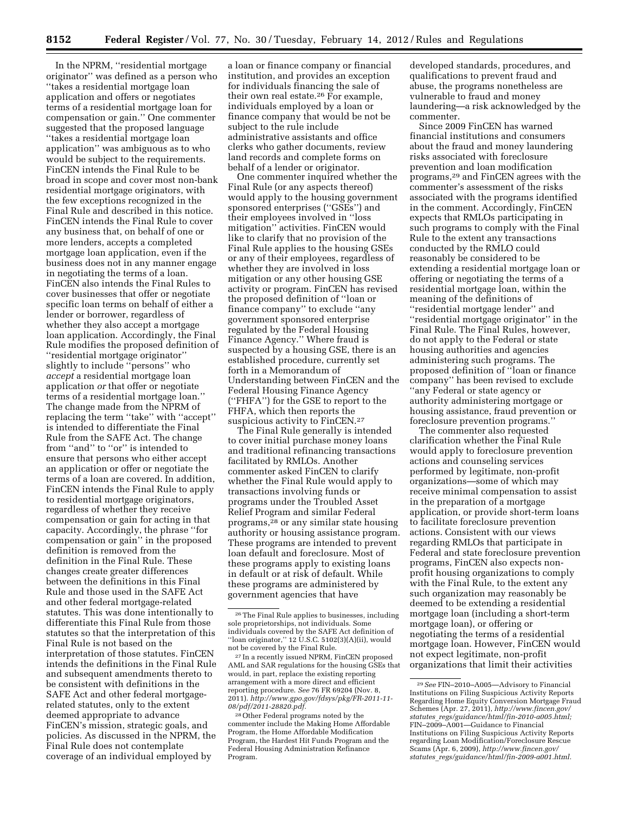In the NPRM, ''residential mortgage originator'' was defined as a person who ''takes a residential mortgage loan application and offers or negotiates terms of a residential mortgage loan for compensation or gain.'' One commenter suggested that the proposed language ''takes a residential mortgage loan application'' was ambiguous as to who would be subject to the requirements. FinCEN intends the Final Rule to be broad in scope and cover most non-bank residential mortgage originators, with the few exceptions recognized in the Final Rule and described in this notice. FinCEN intends the Final Rule to cover any business that, on behalf of one or more lenders, accepts a completed mortgage loan application, even if the business does not in any manner engage in negotiating the terms of a loan. FinCEN also intends the Final Rules to cover businesses that offer or negotiate specific loan terms on behalf of either a lender or borrower, regardless of whether they also accept a mortgage loan application. Accordingly, the Final Rule modifies the proposed definition of ''residential mortgage originator'' slightly to include ''persons'' who *accept* a residential mortgage loan application *or* that offer or negotiate terms of a residential mortgage loan.'' The change made from the NPRM of replacing the term ''take'' with ''accept'' is intended to differentiate the Final Rule from the SAFE Act. The change from ''and'' to ''or'' is intended to ensure that persons who either accept an application or offer or negotiate the terms of a loan are covered. In addition, FinCEN intends the Final Rule to apply to residential mortgage originators, regardless of whether they receive compensation or gain for acting in that capacity. Accordingly, the phrase ''for compensation or gain'' in the proposed definition is removed from the definition in the Final Rule. These changes create greater differences between the definitions in this Final Rule and those used in the SAFE Act and other federal mortgage-related statutes. This was done intentionally to differentiate this Final Rule from those statutes so that the interpretation of this Final Rule is not based on the interpretation of those statutes. FinCEN intends the definitions in the Final Rule and subsequent amendments thereto to be consistent with definitions in the SAFE Act and other federal mortgagerelated statutes, only to the extent deemed appropriate to advance FinCEN's mission, strategic goals, and policies. As discussed in the NPRM, the Final Rule does not contemplate coverage of an individual employed by

a loan or finance company or financial institution, and provides an exception for individuals financing the sale of their own real estate.26 For example, individuals employed by a loan or finance company that would be not be subject to the rule include administrative assistants and office clerks who gather documents, review land records and complete forms on behalf of a lender or originator.

One commenter inquired whether the Final Rule (or any aspects thereof) would apply to the housing government sponsored enterprises (''GSEs'') and their employees involved in ''loss mitigation'' activities. FinCEN would like to clarify that no provision of the Final Rule applies to the housing GSEs or any of their employees, regardless of whether they are involved in loss mitigation or any other housing GSE activity or program. FinCEN has revised the proposed definition of ''loan or finance company'' to exclude ''any government sponsored enterprise regulated by the Federal Housing Finance Agency.'' Where fraud is suspected by a housing GSE, there is an established procedure, currently set forth in a Memorandum of Understanding between FinCEN and the Federal Housing Finance Agency (''FHFA'') for the GSE to report to the FHFA, which then reports the suspicious activity to FinCEN.<sup>27</sup>

The Final Rule generally is intended to cover initial purchase money loans and traditional refinancing transactions facilitated by RMLOs. Another commenter asked FinCEN to clarify whether the Final Rule would apply to transactions involving funds or programs under the Troubled Asset Relief Program and similar Federal programs,28 or any similar state housing authority or housing assistance program. These programs are intended to prevent loan default and foreclosure. Most of these programs apply to existing loans in default or at risk of default. While these programs are administered by government agencies that have

27 In a recently issued NPRM, FinCEN proposed AML and SAR regulations for the housing GSEs that would, in part, replace the existing reporting arrangement with a more direct and efficient reporting procedure. *See* 76 FR 69204 (Nov. 8, 2011). *[http://www.gpo.gov/fdsys/pkg/FR-2011-11-](http://www.gpo.gov/fdsys/pkg/FR-2011-11-08/pdf/2011-28820.pdf) [08/pdf/2011-28820.pdf.](http://www.gpo.gov/fdsys/pkg/FR-2011-11-08/pdf/2011-28820.pdf)* 

28Other Federal programs noted by the commenter include the Making Home Affordable Program, the Home Affordable Modification Program, the Hardest Hit Funds Program and the Federal Housing Administration Refinance Program.

developed standards, procedures, and qualifications to prevent fraud and abuse, the programs nonetheless are vulnerable to fraud and money laundering—a risk acknowledged by the commenter.

Since 2009 FinCEN has warned financial institutions and consumers about the fraud and money laundering risks associated with foreclosure prevention and loan modification programs,29 and FinCEN agrees with the commenter's assessment of the risks associated with the programs identified in the comment. Accordingly, FinCEN expects that RMLOs participating in such programs to comply with the Final Rule to the extent any transactions conducted by the RMLO could reasonably be considered to be extending a residential mortgage loan or offering or negotiating the terms of a residential mortgage loan, within the meaning of the definitions of ''residential mortgage lender'' and ''residential mortgage originator'' in the Final Rule. The Final Rules, however, do not apply to the Federal or state housing authorities and agencies administering such programs. The proposed definition of ''loan or finance company'' has been revised to exclude ''any Federal or state agency or authority administering mortgage or housing assistance, fraud prevention or foreclosure prevention programs.''

The commenter also requested clarification whether the Final Rule would apply to foreclosure prevention actions and counseling services performed by legitimate, non-profit organizations—some of which may receive minimal compensation to assist in the preparation of a mortgage application, or provide short-term loans to facilitate foreclosure prevention actions. Consistent with our views regarding RMLOs that participate in Federal and state foreclosure prevention programs, FinCEN also expects nonprofit housing organizations to comply with the Final Rule, to the extent any such organization may reasonably be deemed to be extending a residential mortgage loan (including a short-term mortgage loan), or offering or negotiating the terms of a residential mortgage loan. However, FinCEN would not expect legitimate, non-profit organizations that limit their activities

<sup>26</sup>The Final Rule applies to businesses, including sole proprietorships, not individuals. Some individuals covered by the SAFE Act definition of "loan originator,"  $12$  U.S.C.  $5102(3)(A)(ii)$ , would not be covered by the Final Rule.

<sup>29</sup>*See* FIN–2010–A005—Advisory to Financial Institutions on Filing Suspicious Activity Reports Regarding Home Equity Conversion Mortgage Fraud Schemes (Apr. 27, 2011), *[http://www.fincen.gov/](http://www.fincen.gov/statutes_regs/guidance/html/fin-2010-a005.html) statutes*\_*[regs/guidance/html/fin-2010-a005.html;](http://www.fincen.gov/statutes_regs/guidance/html/fin-2010-a005.html)*  FIN–2009–A001—Guidance to Financial Institutions on Filing Suspicious Activity Reports regarding Loan Modification/Foreclosure Rescue Scams (Apr. 6, 2009), *[http://www.fincen.gov/](http://www.fincen.gov/statutes_regs/guidance/html/fin-2009-a001.html) statutes*\_*[regs/guidance/html/fin-2009-a001.html.](http://www.fincen.gov/statutes_regs/guidance/html/fin-2009-a001.html)*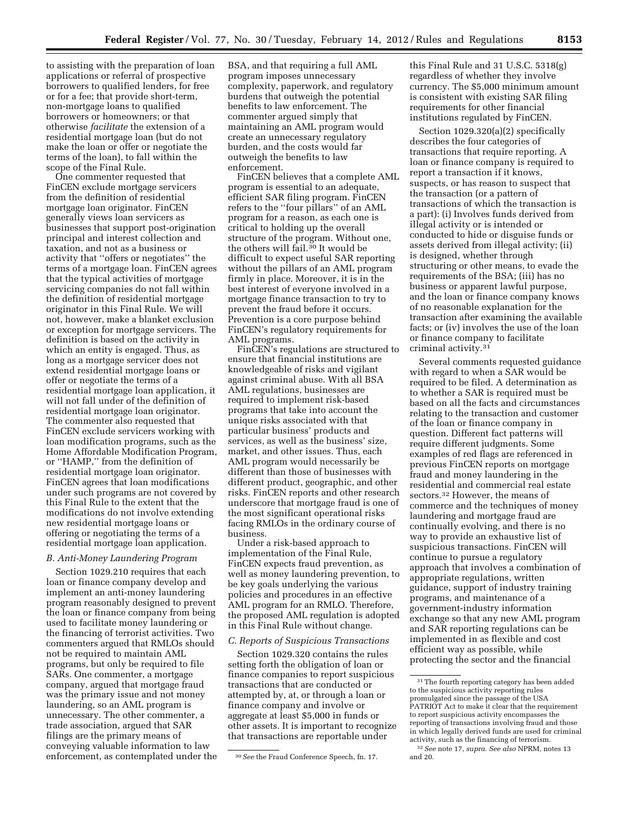to assisting with the preparation of loan applications or referral of prospective borrowers to qualified lenders, for free or for a fee; that provide short-term, non-mortgage loans to qualified borrowers or homeowners; or that otherwise *facilitate* the extension of a residential mortgage loan (but do not make the loan or offer or negotiate the terms of the loan), to fall within the scope of the Final Rule.

One commenter requested that FinCEN exclude mortgage servicers from the definition of residential mortgage loan originator. FinCEN generally views loan servicers as businesses that support post-origination principal and interest collection and taxation, and not as a business or activity that ''offers or negotiates'' the terms of a mortgage loan. FinCEN agrees that the typical activities of mortgage servicing companies do not fall within the definition of residential mortgage originator in this Final Rule. We will not, however, make a blanket exclusion or exception for mortgage servicers. The definition is based on the activity in which an entity is engaged. Thus, as long as a mortgage servicer does not extend residential mortgage loans or offer or negotiate the terms of a residential mortgage loan application, it will not fall under of the definition of residential mortgage loan originator. The commenter also requested that FinCEN exclude servicers working with loan modification programs, such as the Home Affordable Modification Program, or ''HAMP,'' from the definition of residential mortgage loan originator. FinCEN agrees that loan modifications under such programs are not covered by this Final Rule to the extent that the modifications do not involve extending new residential mortgage loans or offering or negotiating the terms of a residential mortgage loan application.

#### *B. Anti-Money Laundering Program*

Section 1029.210 requires that each loan or finance company develop and implement an anti-money laundering program reasonably designed to prevent the loan or finance company from being used to facilitate money laundering or the financing of terrorist activities. Two commenters argued that RMLOs should not be required to maintain AML programs, but only be required to file SARs. One commenter, a mortgage company, argued that mortgage fraud was the primary issue and not money laundering, so an AML program is unnecessary. The other commenter, a trade association, argued that SAR filings are the primary means of conveying valuable information to law enforcement, as contemplated under the BSA, and that requiring a full AML program imposes unnecessary complexity, paperwork, and regulatory burdens that outweigh the potential benefits to law enforcement. The commenter argued simply that maintaining an AML program would create an unnecessary regulatory burden, and the costs would far outweigh the benefits to law enforcement.

FinCEN believes that a complete AML program is essential to an adequate, efficient SAR filing program. FinCEN refers to the ''four pillars'' of an AML program for a reason, as each one is critical to holding up the overall structure of the program. Without one, the others will fail.30 It would be difficult to expect useful SAR reporting without the pillars of an AML program firmly in place. Moreover, it is in the best interest of everyone involved in a mortgage finance transaction to try to prevent the fraud before it occurs. Prevention is a core purpose behind FinCEN's regulatory requirements for AML programs.

FinCEN's regulations are structured to ensure that financial institutions are knowledgeable of risks and vigilant against criminal abuse. With all BSA AML regulations, businesses are required to implement risk-based programs that take into account the unique risks associated with that particular business' products and services, as well as the business' size, market, and other issues. Thus, each AML program would necessarily be different than those of businesses with different product, geographic, and other risks. FinCEN reports and other research underscore that mortgage fraud is one of the most significant operational risks facing RMLOs in the ordinary course of business.

Under a risk-based approach to implementation of the Final Rule, FinCEN expects fraud prevention, as well as money laundering prevention, to be key goals underlying the various policies and procedures in an effective AML program for an RMLO. Therefore, the proposed AML regulation is adopted in this Final Rule without change.

# *C. Reports of Suspicious Transactions*

Section 1029.320 contains the rules setting forth the obligation of loan or finance companies to report suspicious transactions that are conducted or attempted by, at, or through a loan or finance company and involve or aggregate at least \$5,000 in funds or other assets. It is important to recognize that transactions are reportable under

this Final Rule and 31 U.S.C. 5318(g) regardless of whether they involve currency. The \$5,000 minimum amount is consistent with existing SAR filing requirements for other financial institutions regulated by FinCEN.

Section 1029.320(a)(2) specifically describes the four categories of transactions that require reporting. A loan or finance company is required to report a transaction if it knows, suspects, or has reason to suspect that the transaction (or a pattern of transactions of which the transaction is a part): (i) Involves funds derived from illegal activity or is intended or conducted to hide or disguise funds or assets derived from illegal activity; (ii) is designed, whether through structuring or other means, to evade the requirements of the BSA; (iii) has no business or apparent lawful purpose, and the loan or finance company knows of no reasonable explanation for the transaction after examining the available facts; or (iv) involves the use of the loan or finance company to facilitate criminal activity.31

Several comments requested guidance with regard to when a SAR would be required to be filed. A determination as to whether a SAR is required must be based on all the facts and circumstances relating to the transaction and customer of the loan or finance company in question. Different fact patterns will require different judgments. Some examples of red flags are referenced in previous FinCEN reports on mortgage fraud and money laundering in the residential and commercial real estate sectors.32 However, the means of commerce and the techniques of money laundering and mortgage fraud are continually evolving, and there is no way to provide an exhaustive list of suspicious transactions. FinCEN will continue to pursue a regulatory approach that involves a combination of appropriate regulations, written guidance, support of industry training programs, and maintenance of a government-industry information exchange so that any new AML program and SAR reporting regulations can be implemented in as flexible and cost efficient way as possible, while protecting the sector and the financial

<sup>30</sup>*See* the Fraud Conference Speech, fn. 17.

<sup>31</sup>The fourth reporting category has been added to the suspicious activity reporting rules promulgated since the passage of the USA PATRIOT Act to make it clear that the requirement to report suspicious activity encompasses the reporting of transactions involving fraud and those in which legally derived funds are used for criminal activity, such as the financing of terrorism. 32*See* note 17, *supra. See also* NPRM, notes 13 and 20.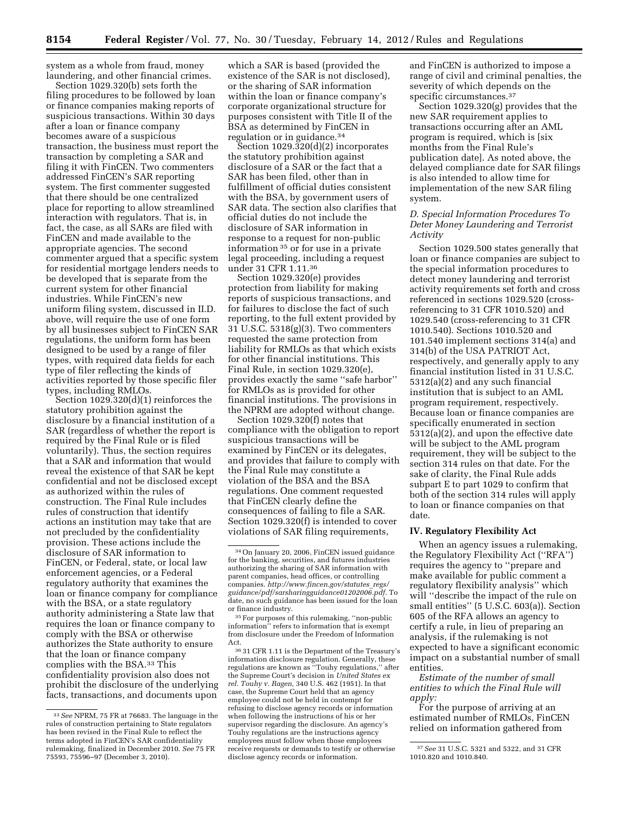system as a whole from fraud, money laundering, and other financial crimes.

Section 1029.320(b) sets forth the filing procedures to be followed by loan or finance companies making reports of suspicious transactions. Within 30 days after a loan or finance company becomes aware of a suspicious transaction, the business must report the transaction by completing a SAR and filing it with FinCEN. Two commenters addressed FinCEN's SAR reporting system. The first commenter suggested that there should be one centralized place for reporting to allow streamlined interaction with regulators. That is, in fact, the case, as all SARs are filed with FinCEN and made available to the appropriate agencies. The second commenter argued that a specific system for residential mortgage lenders needs to be developed that is separate from the current system for other financial industries. While FinCEN's new uniform filing system, discussed in II.D. above, will require the use of one form by all businesses subject to FinCEN SAR regulations, the uniform form has been designed to be used by a range of filer types, with required data fields for each type of filer reflecting the kinds of activities reported by those specific filer types, including RMLOs.

Section 1029.320(d)(1) reinforces the statutory prohibition against the disclosure by a financial institution of a SAR (regardless of whether the report is required by the Final Rule or is filed voluntarily). Thus, the section requires that a SAR and information that would reveal the existence of that SAR be kept confidential and not be disclosed except as authorized within the rules of construction. The Final Rule includes rules of construction that identify actions an institution may take that are not precluded by the confidentiality provision. These actions include the disclosure of SAR information to FinCEN, or Federal, state, or local law enforcement agencies, or a Federal regulatory authority that examines the loan or finance company for compliance with the BSA, or a state regulatory authority administering a State law that requires the loan or finance company to comply with the BSA or otherwise authorizes the State authority to ensure that the loan or finance company complies with the BSA.33 This confidentiality provision also does not prohibit the disclosure of the underlying facts, transactions, and documents upon

which a SAR is based (provided the existence of the SAR is not disclosed), or the sharing of SAR information within the loan or finance company's corporate organizational structure for purposes consistent with Title II of the BSA as determined by FinCEN in regulation or in guidance.34

Section 1029.320(d)(2) incorporates the statutory prohibition against disclosure of a SAR or the fact that a SAR has been filed, other than in fulfillment of official duties consistent with the BSA, by government users of SAR data. The section also clarifies that official duties do not include the disclosure of SAR information in response to a request for non-public information 35 or for use in a private legal proceeding, including a request under 31 CFR 1.11.36

Section 1029.320(e) provides protection from liability for making reports of suspicious transactions, and for failures to disclose the fact of such reporting, to the full extent provided by 31 U.S.C. 5318(g)(3). Two commenters requested the same protection from liability for RMLOs as that which exists for other financial institutions. This Final Rule, in section 1029.320(e), provides exactly the same ''safe harbor'' for RMLOs as is provided for other financial institutions. The provisions in the NPRM are adopted without change.

Section 1029.320(f) notes that compliance with the obligation to report suspicious transactions will be examined by FinCEN or its delegates, and provides that failure to comply with the Final Rule may constitute a violation of the BSA and the BSA regulations. One comment requested that FinCEN clearly define the consequences of failing to file a SAR. Section 1029.320(f) is intended to cover violations of SAR filing requirements,

35For purposes of this rulemaking, ''non-public information'' refers to information that is exempt from disclosure under the Freedom of Information Act.

36 31 CFR 1.11 is the Department of the Treasury's information disclosure regulation. Generally, these regulations are known as ''Touhy regulations,'' after the Supreme Court's decision in *United States ex rel. Touhy v. Ragen,* 340 U.S. 462 (1951). In that case, the Supreme Court held that an agency employee could not be held in contempt for refusing to disclose agency records or information when following the instructions of his or her supervisor regarding the disclosure. An agency's Touhy regulations are the instructions agency employees must follow when those employees receive requests or demands to testify or otherwise disclose agency records or information.

and FinCEN is authorized to impose a range of civil and criminal penalties, the severity of which depends on the specific circumstances.<sup>37</sup>

Section 1029.320(g) provides that the new SAR requirement applies to transactions occurring after an AML program is required, which is [six months from the Final Rule's publication date]. As noted above, the delayed compliance date for SAR filings is also intended to allow time for implementation of the new SAR filing system.

## *D. Special Information Procedures To Deter Money Laundering and Terrorist Activity*

Section 1029.500 states generally that loan or finance companies are subject to the special information procedures to detect money laundering and terrorist activity requirements set forth and cross referenced in sections 1029.520 (crossreferencing to 31 CFR 1010.520) and 1029.540 (cross-referencing to 31 CFR 1010.540). Sections 1010.520 and 101.540 implement sections 314(a) and 314(b) of the USA PATRIOT Act, respectively, and generally apply to any financial institution listed in 31 U.S.C. 5312(a)(2) and any such financial institution that is subject to an AML program requirement, respectively. Because loan or finance companies are specifically enumerated in section 5312(a)(2), and upon the effective date will be subject to the AML program requirement, they will be subject to the section 314 rules on that date. For the sake of clarity, the Final Rule adds subpart E to part 1029 to confirm that both of the section 314 rules will apply to loan or finance companies on that date.

#### **IV. Regulatory Flexibility Act**

When an agency issues a rulemaking, the Regulatory Flexibility Act (''RFA'') requires the agency to ''prepare and make available for public comment a regulatory flexibility analysis'' which will ''describe the impact of the rule on small entities'' (5 U.S.C. 603(a)). Section 605 of the RFA allows an agency to certify a rule, in lieu of preparing an analysis, if the rulemaking is not expected to have a significant economic impact on a substantial number of small entities.

*Estimate of the number of small entities to which the Final Rule will apply:* 

For the purpose of arriving at an estimated number of RMLOs, FinCEN relied on information gathered from

<sup>33</sup>*See* NPRM, 75 FR at 76683. The language in the rules of construction pertaining to State regulators has been revised in the Final Rule to reflect the terms adopted in FinCEN's SAR confidentiality rulemaking, finalized in December 2010. *See* 75 FR 75593, 75596–97 (December 3, 2010).

<sup>34</sup>On January 20, 2006, FinCEN issued guidance for the banking, securities, and futures industries authorizing the sharing of SAR information with parent companies, head offices, or controlling companies. *[http://www.fincen.gov/statutes](http://www.fincen.gov/statutes_regs/guidance/pdf/sarsharingguidance01202006.pdf)*\_*regs/ [guidance/pdf/sarsharingguidance01202006.pdf.](http://www.fincen.gov/statutes_regs/guidance/pdf/sarsharingguidance01202006.pdf)* To date, no such guidance has been issued for the loan or finance industry.

<sup>37</sup>*See* 31 U.S.C. 5321 and 5322, and 31 CFR 1010.820 and 1010.840.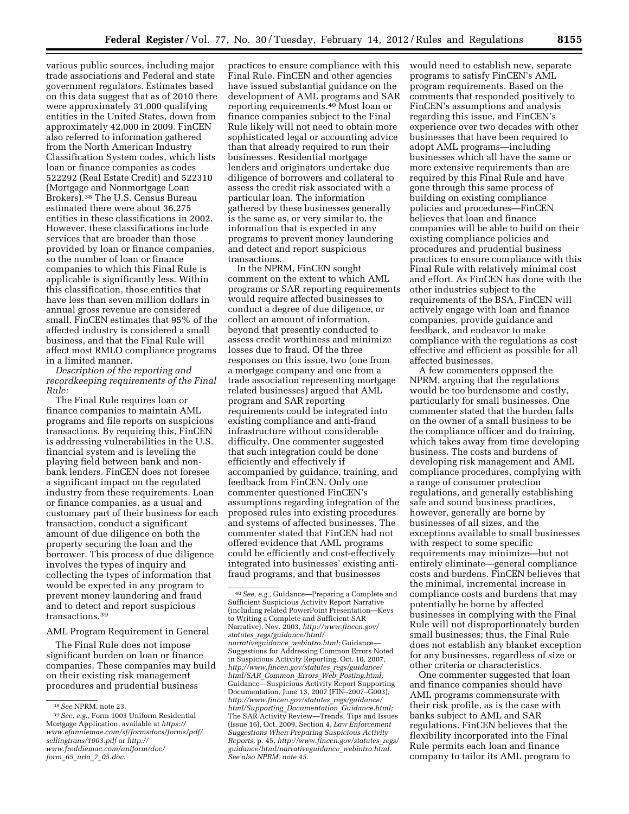various public sources, including major trade associations and Federal and state government regulators. Estimates based on this data suggest that as of 2010 there were approximately 31,000 qualifying entities in the United States, down from approximately 42,000 in 2009. FinCEN also referred to information gathered from the North American Industry Classification System codes, which lists loan or finance companies as codes 522292 (Real Estate Credit) and 522310 (Mortgage and Nonmortgage Loan Brokers).38 The U.S. Census Bureau estimated there were about 36,275 entities in these classifications in 2002. However, these classifications include services that are broader than those provided by loan or finance companies, so the number of loan or finance companies to which this Final Rule is applicable is significantly less. Within this classification, those entities that have less than seven million dollars in annual gross revenue are considered small. FinCEN estimates that 95% of the affected industry is considered a small business, and that the Final Rule will affect most RMLO compliance programs in a limited manner.

*Description of the reporting and recordkeeping requirements of the Final Rule:* 

The Final Rule requires loan or finance companies to maintain AML programs and file reports on suspicious transactions. By requiring this, FinCEN is addressing vulnerabilities in the U.S. financial system and is leveling the playing field between bank and nonbank lenders. FinCEN does not foresee a significant impact on the regulated industry from these requirements. Loan or finance companies, as a usual and customary part of their business for each transaction, conduct a significant amount of due diligence on both the property securing the loan and the borrower. This process of due diligence involves the types of inquiry and collecting the types of information that would be expected in any program to prevent money laundering and fraud and to detect and report suspicious transactions.39

# AML Program Requirement in General

The Final Rule does not impose significant burden on loan or finance companies. These companies may build on their existing risk management procedures and prudential business

practices to ensure compliance with this Final Rule. FinCEN and other agencies have issued substantial guidance on the development of AML programs and SAR reporting requirements.40 Most loan or finance companies subject to the Final Rule likely will not need to obtain more sophisticated legal or accounting advice than that already required to run their businesses. Residential mortgage lenders and originators undertake due diligence of borrowers and collateral to assess the credit risk associated with a particular loan. The information gathered by these businesses generally is the same as, or very similar to, the information that is expected in any programs to prevent money laundering and detect and report suspicious transactions.

In the NPRM, FinCEN sought comment on the extent to which AML programs or SAR reporting requirements would require affected businesses to conduct a degree of due diligence, or collect an amount of information, beyond that presently conducted to assess credit worthiness and minimize losses due to fraud. Of the three responses on this issue, two (one from a mortgage company and one from a trade association representing mortgage related businesses) argued that AML program and SAR reporting requirements could be integrated into existing compliance and anti-fraud infrastructure without considerable difficulty. One commenter suggested that such integration could be done efficiently and effectively if accompanied by guidance, training, and feedback from FinCEN. Only one commenter questioned FinCEN's assumptions regarding integration of the proposed rules into existing procedures and systems of affected businesses. The commenter stated that FinCEN had not offered evidence that AML programs could be efficiently and cost-effectively integrated into businesses' existing antifraud programs, and that businesses

would need to establish new, separate programs to satisfy FinCEN's AML program requirements. Based on the comments that responded positively to FinCEN's assumptions and analysis regarding this issue, and FinCEN's experience over two decades with other businesses that have been required to adopt AML programs—including businesses which all have the same or more extensive requirements than are required by this Final Rule and have gone through this same process of building on existing compliance policies and procedures—FinCEN believes that loan and finance companies will be able to build on their existing compliance policies and procedures and prudential business practices to ensure compliance with this Final Rule with relatively minimal cost and effort. As FinCEN has done with the other industries subject to the requirements of the BSA, FinCEN will actively engage with loan and finance companies, provide guidance and feedback, and endeavor to make compliance with the regulations as cost effective and efficient as possible for all affected businesses.

A few commenters opposed the NPRM, arguing that the regulations would be too burdensome and costly, particularly for small businesses. One commenter stated that the burden falls on the owner of a small business to be the compliance officer and do training, which takes away from time developing business. The costs and burdens of developing risk management and AML compliance procedures, complying with a range of consumer protection regulations, and generally establishing safe and sound business practices, however, generally are borne by businesses of all sizes, and the exceptions available to small businesses with respect to some specific requirements may minimize—but not entirely eliminate—general compliance costs and burdens. FinCEN believes that the minimal, incremental increase in compliance costs and burdens that may potentially be borne by affected businesses in complying with the Final Rule will not disproportionately burden small businesses; thus, the Final Rule does not establish any blanket exception for any businesses, regardless of size or other criteria or characteristics.

One commenter suggested that loan and finance companies should have AML programs commensurate with their risk profile, as is the case with banks subject to AML and SAR regulations. FinCEN believes that the flexibility incorporated into the Final Rule permits each loan and finance company to tailor its AML program to

<sup>38</sup>*See* NPRM, note 23.

<sup>39</sup>*See, e.g.,* Form 1003 Uniform Residential Mortgage Application, available at *[https://](https://www.efanniemae.com/sf/formsdocs/forms/pdf/sellingtrans/1003.pdf) [www.efanniemae.com/sf/formsdocs/forms/pdf/](https://www.efanniemae.com/sf/formsdocs/forms/pdf/sellingtrans/1003.pdf) [sellingtrans/1003.pdf](https://www.efanniemae.com/sf/formsdocs/forms/pdf/sellingtrans/1003.pdf)* or *[http://](http://www.freddiemac.com/uniform/doc/form_65_urla_7_05.doc)  [www.freddiemac.com/uniform/doc/](http://www.freddiemac.com/uniform/doc/form_65_urla_7_05.doc)  form*\_*65*\_*urla*\_*7*\_*[05.doc](http://www.freddiemac.com/uniform/doc/form_65_urla_7_05.doc)*.

<sup>40</sup>*See, e.g.,* Guidance—Preparing a Complete and Sufficient Suspicious Activity Report Narrative (including related PowerPoint Presentation—Keys to Writing a Complete and Sufficient SAR Narrative), Nov. 2003, *[http://www.fincen.gov/](http://www.fincen.gov/statutes_regs/guidance/html/narrativeguidance_webintro.html)  statutes*\_*[regs/guidance/html/](http://www.fincen.gov/statutes_regs/guidance/html/narrativeguidance_webintro.html)  [narrativeguidance](http://www.fincen.gov/statutes_regs/guidance/html/narrativeguidance_webintro.html)*\_*webintro.html;* Guidance— Suggestions for Addressing Common Errors Noted in Suspicious Activity Reporting, Oct. 10, 2007, *[http://www.fincen.gov/statutes](http://www.fincen.gov/statutes_regs/guidance/html/SAR_Common_Errors_Web_Posting.html)*\_*regs/guidance/ html/SAR*\_*Common*\_*Errors*\_*Web*\_*[Posting.html;](http://www.fincen.gov/statutes_regs/guidance/html/SAR_Common_Errors_Web_Posting.html)*  Guidance—Suspicious Activity Report Supporting Documentation, June 13, 2007 (FIN–2007–G003), *[http://www.fincen.gov/statutes](http://www.fincen.gov/statutes_regs/guidance/html/Supporting_Documentation_Guidance.html)*\_*regs/guidance/ [html/Supporting](http://www.fincen.gov/statutes_regs/guidance/html/Supporting_Documentation_Guidance.html)*\_*Documentation*\_*Guidance.html;*  The SAR Activity Review—Trends, Tips and Issues (Issue 16), Oct. 2009, Section 4, *Law Enforcement Suggestions When Preparing Suspicious Activity Reports,* p. 45, *[http://www.fincen.gov/statutes](http://www.fincen.gov/statutes_regs/guidance/html/narrativeguidance_webintro.html)*\_*regs/ [guidance/html/narrativeguidance](http://www.fincen.gov/statutes_regs/guidance/html/narrativeguidance_webintro.html)*\_*webintro.html*. *See also NPRM, note 45.*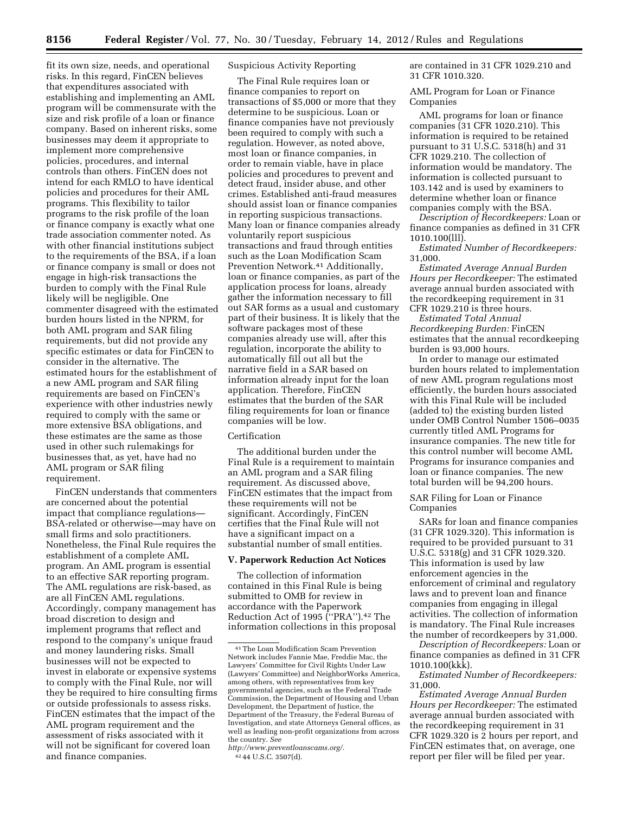fit its own size, needs, and operational risks. In this regard, FinCEN believes that expenditures associated with establishing and implementing an AML program will be commensurate with the size and risk profile of a loan or finance company. Based on inherent risks, some businesses may deem it appropriate to implement more comprehensive policies, procedures, and internal controls than others. FinCEN does not intend for each RMLO to have identical policies and procedures for their AML programs. This flexibility to tailor programs to the risk profile of the loan or finance company is exactly what one trade association commenter noted. As with other financial institutions subject to the requirements of the BSA, if a loan or finance company is small or does not engage in high-risk transactions the burden to comply with the Final Rule likely will be negligible. One commenter disagreed with the estimated burden hours listed in the NPRM, for both AML program and SAR filing requirements, but did not provide any specific estimates or data for FinCEN to consider in the alternative. The estimated hours for the establishment of a new AML program and SAR filing requirements are based on FinCEN's experience with other industries newly required to comply with the same or more extensive BSA obligations, and these estimates are the same as those used in other such rulemakings for businesses that, as yet, have had no AML program or SAR filing requirement.

FinCEN understands that commenters are concerned about the potential impact that compliance regulations— BSA-related or otherwise—may have on small firms and solo practitioners. Nonetheless, the Final Rule requires the establishment of a complete AML program. An AML program is essential to an effective SAR reporting program. The AML regulations are risk-based, as are all FinCEN AML regulations. Accordingly, company management has broad discretion to design and implement programs that reflect and respond to the company's unique fraud and money laundering risks. Small businesses will not be expected to invest in elaborate or expensive systems to comply with the Final Rule, nor will they be required to hire consulting firms or outside professionals to assess risks. FinCEN estimates that the impact of the AML program requirement and the assessment of risks associated with it will not be significant for covered loan and finance companies.

# Suspicious Activity Reporting

The Final Rule requires loan or finance companies to report on transactions of \$5,000 or more that they determine to be suspicious. Loan or finance companies have not previously been required to comply with such a regulation. However, as noted above, most loan or finance companies, in order to remain viable, have in place policies and procedures to prevent and detect fraud, insider abuse, and other crimes. Established anti-fraud measures should assist loan or finance companies in reporting suspicious transactions. Many loan or finance companies already voluntarily report suspicious transactions and fraud through entities such as the Loan Modification Scam Prevention Network.41 Additionally, loan or finance companies, as part of the application process for loans, already gather the information necessary to fill out SAR forms as a usual and customary part of their business. It is likely that the software packages most of these companies already use will, after this regulation, incorporate the ability to automatically fill out all but the narrative field in a SAR based on information already input for the loan application. Therefore, FinCEN estimates that the burden of the SAR filing requirements for loan or finance companies will be low.

#### Certification

The additional burden under the Final Rule is a requirement to maintain an AML program and a SAR filing requirement. As discussed above, FinCEN estimates that the impact from these requirements will not be significant. Accordingly, FinCEN certifies that the Final Rule will not have a significant impact on a substantial number of small entities.

#### **V. Paperwork Reduction Act Notices**

The collection of information contained in this Final Rule is being submitted to OMB for review in accordance with the Paperwork Reduction Act of 1995 (''PRA'').42 The information collections in this proposal are contained in 31 CFR 1029.210 and 31 CFR 1010.320.

AML Program for Loan or Finance Companies

AML programs for loan or finance companies (31 CFR 1020.210). This information is required to be retained pursuant to 31 U.S.C. 5318(h) and 31 CFR 1029.210. The collection of information would be mandatory. The information is collected pursuant to 103.142 and is used by examiners to determine whether loan or finance companies comply with the BSA.

*Description of Recordkeepers:* Loan or finance companies as defined in 31 CFR 1010.100(lll).

*Estimated Number of Recordkeepers:*  31,000.

*Estimated Average Annual Burden Hours per Recordkeeper:* The estimated average annual burden associated with the recordkeeping requirement in 31 CFR 1029.210 is three hours.

*Estimated Total Annual Recordkeeping Burden:* FinCEN estimates that the annual recordkeeping burden is 93,000 hours.

In order to manage our estimated burden hours related to implementation of new AML program regulations most efficiently, the burden hours associated with this Final Rule will be included (added to) the existing burden listed under OMB Control Number 1506–0035 currently titled AML Programs for insurance companies. The new title for this control number will become AML Programs for insurance companies and loan or finance companies. The new total burden will be 94,200 hours.

SAR Filing for Loan or Finance Companies

SARs for loan and finance companies (31 CFR 1029.320). This information is required to be provided pursuant to 31 U.S.C. 5318(g) and 31 CFR 1029.320. This information is used by law enforcement agencies in the enforcement of criminal and regulatory laws and to prevent loan and finance companies from engaging in illegal activities. The collection of information is mandatory. The Final Rule increases the number of recordkeepers by 31,000.

*Description of Recordkeepers:* Loan or finance companies as defined in 31 CFR 1010.100(kkk).

*Estimated Number of Recordkeepers:*  31,000.

*Estimated Average Annual Burden Hours per Recordkeeper:* The estimated average annual burden associated with the recordkeeping requirement in 31 CFR 1029.320 is 2 hours per report, and FinCEN estimates that, on average, one report per filer will be filed per year.

<sup>41</sup>The Loan Modification Scam Prevention Network includes Fannie Mae, Freddie Mac, the Lawyers' Committee for Civil Rights Under Law (Lawyers' Committee) and NeighborWorks America, among others, with representatives from key governmental agencies, such as the Federal Trade Commission, the Department of Housing and Urban Development, the Department of Justice, the Department of the Treasury, the Federal Bureau of Investigation, and state Attorneys General offices, as well as leading non-profit organizations from across the country. *See* 

*[http://www.preventloanscams.org/.](http://www.preventloanscams.org/)*  42 44 U.S.C. 3507(d).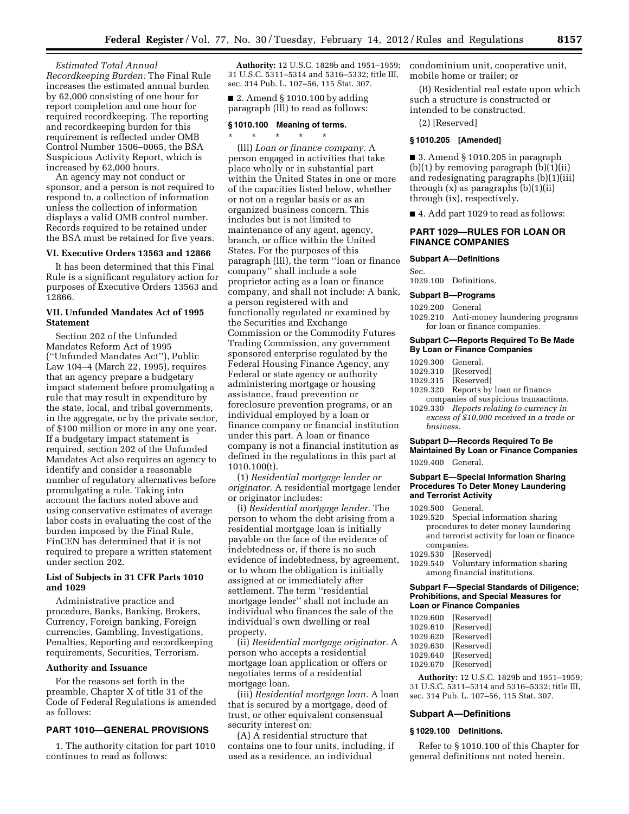*Estimated Total Annual Recordkeeping Burden:* The Final Rule increases the estimated annual burden by 62,000 consisting of one hour for report completion and one hour for required recordkeeping. The reporting and recordkeeping burden for this requirement is reflected under OMB Control Number 1506–0065, the BSA Suspicious Activity Report, which is increased by 62,000 hours.

An agency may not conduct or sponsor, and a person is not required to respond to, a collection of information unless the collection of information displays a valid OMB control number. Records required to be retained under the BSA must be retained for five years.

#### **VI. Executive Orders 13563 and 12866**

It has been determined that this Final Rule is a significant regulatory action for purposes of Executive Orders 13563 and 12866.

# **VII. Unfunded Mandates Act of 1995 Statement**

Section 202 of the Unfunded Mandates Reform Act of 1995 (''Unfunded Mandates Act''), Public Law 104–4 (March 22, 1995), requires that an agency prepare a budgetary impact statement before promulgating a rule that may result in expenditure by the state, local, and tribal governments, in the aggregate, or by the private sector, of \$100 million or more in any one year. If a budgetary impact statement is required, section 202 of the Unfunded Mandates Act also requires an agency to identify and consider a reasonable number of regulatory alternatives before promulgating a rule. Taking into account the factors noted above and using conservative estimates of average labor costs in evaluating the cost of the burden imposed by the Final Rule, FinCEN has determined that it is not required to prepare a written statement under section 202.

#### **List of Subjects in 31 CFR Parts 1010 and 1029**

Administrative practice and procedure, Banks, Banking, Brokers, Currency, Foreign banking, Foreign currencies, Gambling, Investigations, Penalties, Reporting and recordkeeping requirements, Securities, Terrorism.

#### **Authority and Issuance**

For the reasons set forth in the preamble, Chapter X of title 31 of the Code of Federal Regulations is amended as follows:

## **PART 1010—GENERAL PROVISIONS**

1. The authority citation for part 1010 continues to read as follows:

**Authority:** 12 U.S.C. 1829b and 1951–1959; 31 U.S.C. 5311–5314 and 5316–5332; title III, sec. 314 Pub. L. 107–56, 115 Stat. 307.

■ 2. Amend § 1010.100 by adding paragraph (lll) to read as follows:

#### **§ 1010.100 Meaning of terms.**

\* \* \* \* \* (lll) *Loan or finance company.* A person engaged in activities that take place wholly or in substantial part within the United States in one or more of the capacities listed below, whether or not on a regular basis or as an organized business concern. This includes but is not limited to maintenance of any agent, agency, branch, or office within the United States. For the purposes of this paragraph (lll), the term ''loan or finance company'' shall include a sole proprietor acting as a loan or finance company, and shall not include: A bank, a person registered with and functionally regulated or examined by the Securities and Exchange Commission or the Commodity Futures Trading Commission, any government sponsored enterprise regulated by the Federal Housing Finance Agency, any Federal or state agency or authority administering mortgage or housing assistance, fraud prevention or foreclosure prevention programs, or an individual employed by a loan or finance company or financial institution under this part. A loan or finance company is not a financial institution as defined in the regulations in this part at 1010.100(t).

(1) *Residential mortgage lender or originator.* A residential mortgage lender or originator includes:

(i) *Residential mortgage lender.* The person to whom the debt arising from a residential mortgage loan is initially payable on the face of the evidence of indebtedness or, if there is no such evidence of indebtedness, by agreement, or to whom the obligation is initially assigned at or immediately after settlement. The term ''residential mortgage lender'' shall not include an individual who finances the sale of the individual's own dwelling or real property.

(ii) *Residential mortgage originator.* A person who accepts a residential mortgage loan application or offers or negotiates terms of a residential mortgage loan.

(iii) *Residential mortgage loan.* A loan that is secured by a mortgage, deed of trust, or other equivalent consensual security interest on:

(A) A residential structure that contains one to four units, including, if used as a residence, an individual

condominium unit, cooperative unit, mobile home or trailer; or

(B) Residential real estate upon which such a structure is constructed or intended to be constructed.

(2) [Reserved]

## **§ 1010.205 [Amended]**

 $\blacksquare$  3. Amend § 1010.205 in paragraph  $(b)(1)$  by removing paragraph  $(b)(1)(ii)$ and redesignating paragraphs (b)(1)(iii) through (x) as paragraphs (b)(1)(ii) through (ix), respectively.

■ 4. Add part 1029 to read as follows:

## **PART 1029—RULES FOR LOAN OR FINANCE COMPANIES**

#### **Subpart A—Definitions**

Sec.

1029.100 Definitions.

#### **Subpart B—Programs**

1029.200 General

1029.210 Anti-money laundering programs for loan or finance companies.

#### **Subpart C—Reports Required To Be Made By Loan or Finance Companies**

1029.300 General.

- 1029.310 [Reserved]<br>1029.315 [Reserved]
- 1029.315 [Reserved]<br>1029.320 Reports by
- Reports by loan or finance companies of suspicious transactions.
- 1029.330 *Reports relating to currency in excess of \$10,000 received in a trade or business.*

# **Subpart D—Records Required To Be Maintained By Loan or Finance Companies**

1029.400 General.

#### **Subpart E—Special Information Sharing Procedures To Deter Money Laundering and Terrorist Activity**

1029.500 General.

- 1029.520 Special information sharing procedures to deter money laundering and terrorist activity for loan or finance companies.
- 1029.530 [Reserved]
- 1029.540 Voluntary information sharing among financial institutions.

#### **Subpart F—Special Standards of Diligence; Prohibitions, and Special Measures for Loan or Finance Companies**

| [Reserved] |
|------------|
| [Reserved] |
| [Reserved] |
| [Reserved] |
| [Reserved] |
|            |

1029.670 [Reserved]

**Authority:** 12 U.S.C. 1829b and 1951–1959; 31 U.S.C. 5311–5314 and 5316–5332; title III, sec. 314 Pub. L. 107–56, 115 Stat. 307.

# **Subpart A—Definitions**

## **§ 1029.100 Definitions.**

Refer to § 1010.100 of this Chapter for general definitions not noted herein.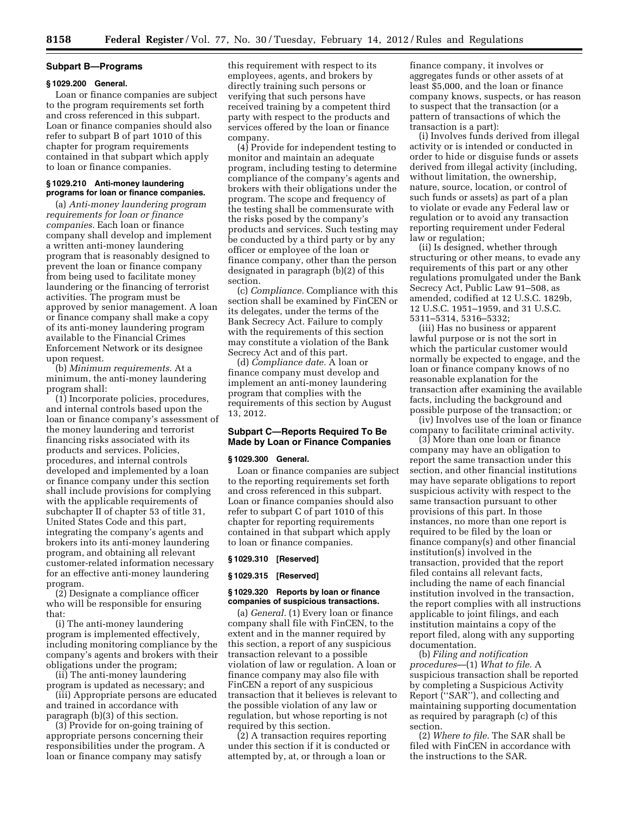#### **Subpart B—Programs**

## **§ 1029.200 General.**

Loan or finance companies are subject to the program requirements set forth and cross referenced in this subpart. Loan or finance companies should also refer to subpart B of part 1010 of this chapter for program requirements contained in that subpart which apply to loan or finance companies.

#### **§ 1029.210 Anti-money laundering programs for loan or finance companies.**

(a) *Anti-money laundering program requirements for loan or finance companies.* Each loan or finance company shall develop and implement a written anti-money laundering program that is reasonably designed to prevent the loan or finance company from being used to facilitate money laundering or the financing of terrorist activities. The program must be approved by senior management. A loan or finance company shall make a copy of its anti-money laundering program available to the Financial Crimes Enforcement Network or its designee upon request.

(b) *Minimum requirements.* At a minimum, the anti-money laundering program shall:

(1) Incorporate policies, procedures, and internal controls based upon the loan or finance company's assessment of the money laundering and terrorist financing risks associated with its products and services. Policies, procedures, and internal controls developed and implemented by a loan or finance company under this section shall include provisions for complying with the applicable requirements of subchapter II of chapter 53 of title 31, United States Code and this part, integrating the company's agents and brokers into its anti-money laundering program, and obtaining all relevant customer-related information necessary for an effective anti-money laundering program.

(2) Designate a compliance officer who will be responsible for ensuring that:

(i) The anti-money laundering program is implemented effectively, including monitoring compliance by the company's agents and brokers with their obligations under the program;

(ii) The anti-money laundering program is updated as necessary; and

(iii) Appropriate persons are educated and trained in accordance with paragraph (b)(3) of this section.

(3) Provide for on-going training of appropriate persons concerning their responsibilities under the program. A loan or finance company may satisfy

this requirement with respect to its employees, agents, and brokers by directly training such persons or verifying that such persons have received training by a competent third party with respect to the products and services offered by the loan or finance company.

(4) Provide for independent testing to monitor and maintain an adequate program, including testing to determine compliance of the company's agents and brokers with their obligations under the program. The scope and frequency of the testing shall be commensurate with the risks posed by the company's products and services. Such testing may be conducted by a third party or by any officer or employee of the loan or finance company, other than the person designated in paragraph (b)(2) of this section.

(c) *Compliance.* Compliance with this section shall be examined by FinCEN or its delegates, under the terms of the Bank Secrecy Act. Failure to comply with the requirements of this section may constitute a violation of the Bank Secrecy Act and of this part.

(d) *Compliance date.* A loan or finance company must develop and implement an anti-money laundering program that complies with the requirements of this section by August 13, 2012.

## **Subpart C—Reports Required To Be Made by Loan or Finance Companies**

#### **§ 1029.300 General.**

Loan or finance companies are subject to the reporting requirements set forth and cross referenced in this subpart. Loan or finance companies should also refer to subpart C of part 1010 of this chapter for reporting requirements contained in that subpart which apply to loan or finance companies.

#### **§ 1029.310 [Reserved]**

#### **§ 1029.315 [Reserved]**

## **§ 1029.320 Reports by loan or finance companies of suspicious transactions.**

(a) *General.* (1) Every loan or finance company shall file with FinCEN, to the extent and in the manner required by this section, a report of any suspicious transaction relevant to a possible violation of law or regulation. A loan or finance company may also file with FinCEN a report of any suspicious transaction that it believes is relevant to the possible violation of any law or regulation, but whose reporting is not required by this section.

(2) A transaction requires reporting under this section if it is conducted or attempted by, at, or through a loan or

finance company, it involves or aggregates funds or other assets of at least \$5,000, and the loan or finance company knows, suspects, or has reason to suspect that the transaction (or a pattern of transactions of which the transaction is a part):

(i) Involves funds derived from illegal activity or is intended or conducted in order to hide or disguise funds or assets derived from illegal activity (including, without limitation, the ownership, nature, source, location, or control of such funds or assets) as part of a plan to violate or evade any Federal law or regulation or to avoid any transaction reporting requirement under Federal law or regulation;

(ii) Is designed, whether through structuring or other means, to evade any requirements of this part or any other regulations promulgated under the Bank Secrecy Act, Public Law 91–508, as amended, codified at 12 U.S.C. 1829b, 12 U.S.C. 1951–1959, and 31 U.S.C. 5311–5314, 5316–5332;

(iii) Has no business or apparent lawful purpose or is not the sort in which the particular customer would normally be expected to engage, and the loan or finance company knows of no reasonable explanation for the transaction after examining the available facts, including the background and possible purpose of the transaction; or

(iv) Involves use of the loan or finance company to facilitate criminal activity.

(3) More than one loan or finance company may have an obligation to report the same transaction under this section, and other financial institutions may have separate obligations to report suspicious activity with respect to the same transaction pursuant to other provisions of this part. In those instances, no more than one report is required to be filed by the loan or finance company(s) and other financial institution(s) involved in the transaction, provided that the report filed contains all relevant facts, including the name of each financial institution involved in the transaction, the report complies with all instructions applicable to joint filings, and each institution maintains a copy of the report filed, along with any supporting documentation.

(b) *Filing and notification procedures*—(1) *What to file.* A suspicious transaction shall be reported by completing a Suspicious Activity Report (''SAR''), and collecting and maintaining supporting documentation as required by paragraph (c) of this section.

(2) *Where to file.* The SAR shall be filed with FinCEN in accordance with the instructions to the SAR.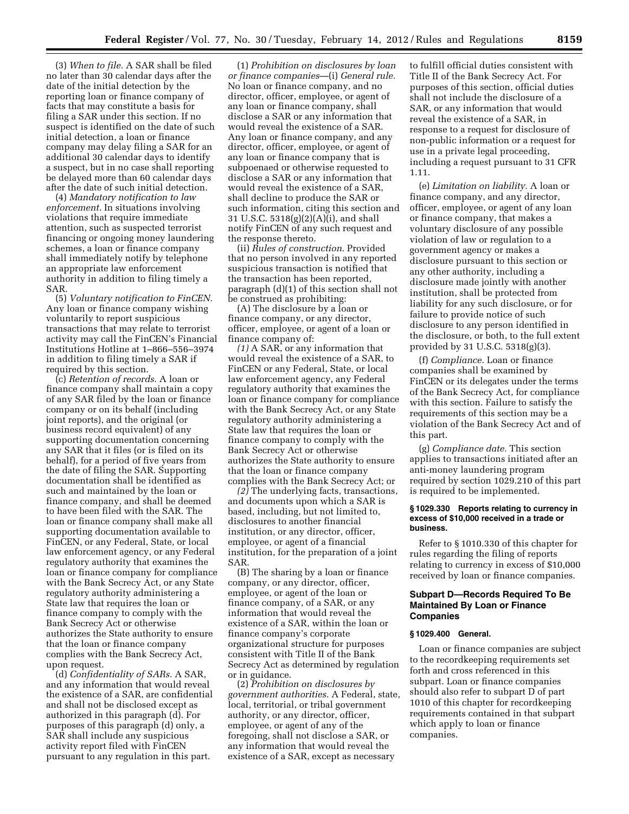(3) *When to file.* A SAR shall be filed no later than 30 calendar days after the date of the initial detection by the reporting loan or finance company of facts that may constitute a basis for filing a SAR under this section. If no suspect is identified on the date of such initial detection, a loan or finance company may delay filing a SAR for an additional 30 calendar days to identify a suspect, but in no case shall reporting be delayed more than 60 calendar days after the date of such initial detection.

(4) *Mandatory notification to law enforcement.* In situations involving violations that require immediate attention, such as suspected terrorist financing or ongoing money laundering schemes, a loan or finance company shall immediately notify by telephone an appropriate law enforcement authority in addition to filing timely a SAR.

(5) *Voluntary notification to FinCEN.*  Any loan or finance company wishing voluntarily to report suspicious transactions that may relate to terrorist activity may call the FinCEN's Financial Institutions Hotline at 1–866–556–3974 in addition to filing timely a SAR if required by this section.

(c) *Retention of records.* A loan or finance company shall maintain a copy of any SAR filed by the loan or finance company or on its behalf (including joint reports), and the original (or business record equivalent) of any supporting documentation concerning any SAR that it files (or is filed on its behalf), for a period of five years from the date of filing the SAR. Supporting documentation shall be identified as such and maintained by the loan or finance company, and shall be deemed to have been filed with the SAR. The loan or finance company shall make all supporting documentation available to FinCEN, or any Federal, State, or local law enforcement agency, or any Federal regulatory authority that examines the loan or finance company for compliance with the Bank Secrecy Act, or any State regulatory authority administering a State law that requires the loan or finance company to comply with the Bank Secrecy Act or otherwise authorizes the State authority to ensure that the loan or finance company complies with the Bank Secrecy Act, upon request.

(d) *Confidentiality of SARs.* A SAR, and any information that would reveal the existence of a SAR, are confidential and shall not be disclosed except as authorized in this paragraph (d). For purposes of this paragraph (d) only, a SAR shall include any suspicious activity report filed with FinCEN pursuant to any regulation in this part.

(1) *Prohibition on disclosures by loan or finance companies*—(i) *General rule.*  No loan or finance company, and no director, officer, employee, or agent of any loan or finance company, shall disclose a SAR or any information that would reveal the existence of a SAR. Any loan or finance company, and any director, officer, employee, or agent of any loan or finance company that is subpoenaed or otherwise requested to disclose a SAR or any information that would reveal the existence of a SAR, shall decline to produce the SAR or such information, citing this section and 31 U.S.C. 5318(g)(2)(A)(i), and shall notify FinCEN of any such request and the response thereto.

(ii) *Rules of construction.* Provided that no person involved in any reported suspicious transaction is notified that the transaction has been reported, paragraph (d)(1) of this section shall not be construed as prohibiting:

(A) The disclosure by a loan or finance company, or any director, officer, employee, or agent of a loan or finance company of:

*(1)* A SAR, or any information that would reveal the existence of a SAR, to FinCEN or any Federal, State, or local law enforcement agency, any Federal regulatory authority that examines the loan or finance company for compliance with the Bank Secrecy Act, or any State regulatory authority administering a State law that requires the loan or finance company to comply with the Bank Secrecy Act or otherwise authorizes the State authority to ensure that the loan or finance company complies with the Bank Secrecy Act; or

*(2)* The underlying facts, transactions, and documents upon which a SAR is based, including, but not limited to, disclosures to another financial institution, or any director, officer, employee, or agent of a financial institution, for the preparation of a joint SAR.

(B) The sharing by a loan or finance company, or any director, officer, employee, or agent of the loan or finance company, of a SAR, or any information that would reveal the existence of a SAR, within the loan or finance company's corporate organizational structure for purposes consistent with Title II of the Bank Secrecy Act as determined by regulation or in guidance.

(2) *Prohibition on disclosures by government authorities.* A Federal, state, local, territorial, or tribal government authority, or any director, officer, employee, or agent of any of the foregoing, shall not disclose a SAR, or any information that would reveal the existence of a SAR, except as necessary

to fulfill official duties consistent with Title II of the Bank Secrecy Act. For purposes of this section, official duties shall not include the disclosure of a SAR, or any information that would reveal the existence of a SAR, in response to a request for disclosure of non-public information or a request for use in a private legal proceeding, including a request pursuant to 31 CFR 1.11.

(e) *Limitation on liability.* A loan or finance company, and any director, officer, employee, or agent of any loan or finance company, that makes a voluntary disclosure of any possible violation of law or regulation to a government agency or makes a disclosure pursuant to this section or any other authority, including a disclosure made jointly with another institution, shall be protected from liability for any such disclosure, or for failure to provide notice of such disclosure to any person identified in the disclosure, or both, to the full extent provided by 31 U.S.C. 5318(g)(3).

(f) *Compliance.* Loan or finance companies shall be examined by FinCEN or its delegates under the terms of the Bank Secrecy Act, for compliance with this section. Failure to satisfy the requirements of this section may be a violation of the Bank Secrecy Act and of this part.

(g) *Compliance date.* This section applies to transactions initiated after an anti-money laundering program required by section 1029.210 of this part is required to be implemented.

#### **§ 1029.330 Reports relating to currency in excess of \$10,000 received in a trade or business.**

Refer to § 1010.330 of this chapter for rules regarding the filing of reports relating to currency in excess of \$10,000 received by loan or finance companies.

#### **Subpart D—Records Required To Be Maintained By Loan or Finance Companies**

#### **§ 1029.400 General.**

Loan or finance companies are subject to the recordkeeping requirements set forth and cross referenced in this subpart. Loan or finance companies should also refer to subpart D of part 1010 of this chapter for recordkeeping requirements contained in that subpart which apply to loan or finance companies.